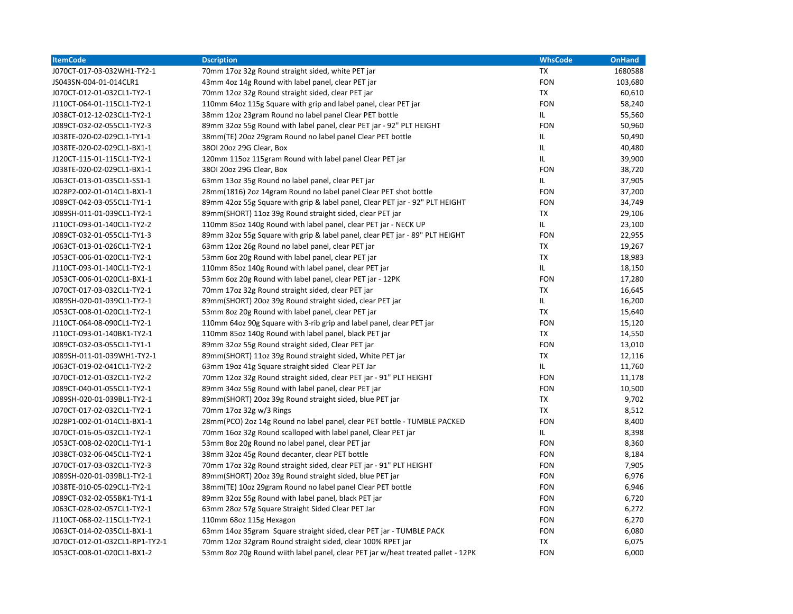| <b>ItemCode</b>                | <b>Dscription</b>                                                                | <b>WhsCode</b> | <b>OnHand</b> |
|--------------------------------|----------------------------------------------------------------------------------|----------------|---------------|
| J070CT-017-03-032WH1-TY2-1     | 70mm 17oz 32g Round straight sided, white PET jar                                | TX             | 1680588       |
| JS043SN-004-01-014CLR1         | 43mm 4oz 14g Round with label panel, clear PET jar                               | <b>FON</b>     | 103,680       |
| J070CT-012-01-032CL1-TY2-1     | 70mm 12oz 32g Round straight sided, clear PET jar                                | <b>TX</b>      | 60,610        |
| J110CT-064-01-115CL1-TY2-1     | 110mm 64oz 115g Square with grip and label panel, clear PET jar                  | <b>FON</b>     | 58,240        |
| J038CT-012-12-023CL1-TY2-1     | 38mm 12oz 23gram Round no label panel Clear PET bottle                           | IL             | 55,560        |
| J089CT-032-02-055CL1-TY2-3     | 89mm 32oz 55g Round with label panel, clear PET jar - 92" PLT HEIGHT             | <b>FON</b>     | 50,960        |
| J038TE-020-02-029CL1-TY1-1     | 38mm(TE) 20oz 29gram Round no label panel Clear PET bottle                       | IL             | 50,490        |
| J038TE-020-02-029CL1-BX1-1     | 3801 20oz 29G Clear, Box                                                         | IL             | 40,480        |
| J120CT-115-01-115CL1-TY2-1     | 120mm 115oz 115gram Round with label panel Clear PET jar                         | IL             | 39,900        |
| J038TE-020-02-029CL1-BX1-1     | 3801 20oz 29G Clear, Box                                                         | <b>FON</b>     | 38,720        |
| J063CT-013-01-035CL1-SS1-1     | 63mm 13oz 35g Round no label panel, clear PET jar                                | IL.            | 37,905        |
| J028P2-002-01-014CL1-BX1-1     | 28mm(1816) 2oz 14gram Round no label panel Clear PET shot bottle                 | <b>FON</b>     | 37,200        |
| J089CT-042-03-055CL1-TY1-1     | 89mm 42oz 55g Square with grip & label panel, Clear PET jar - 92" PLT HEIGHT     | <b>FON</b>     | 34,749        |
| J089SH-011-01-039CL1-TY2-1     | 89mm(SHORT) 11oz 39g Round straight sided, clear PET jar                         | <b>TX</b>      | 29,106        |
| J110CT-093-01-140CL1-TY2-2     | 110mm 85oz 140g Round with label panel, clear PET jar - NECK UP                  | IL             | 23,100        |
| J089CT-032-01-055CL1-TY1-3     | 89mm 32oz 55g Square with grip & label panel, clear PET jar - 89" PLT HEIGHT     | <b>FON</b>     | 22,955        |
| J063CT-013-01-026CL1-TY2-1     | 63mm 12oz 26g Round no label panel, clear PET jar                                | <b>TX</b>      | 19,267        |
| J053CT-006-01-020CL1-TY2-1     | 53mm 6oz 20g Round with label panel, clear PET jar                               | <b>TX</b>      | 18,983        |
| J110CT-093-01-140CL1-TY2-1     | 110mm 85oz 140g Round with label panel, clear PET jar                            | IL             | 18,150        |
| J053CT-006-01-020CL1-BX1-1     | 53mm 6oz 20g Round with label panel, clear PET jar - 12PK                        | <b>FON</b>     | 17,280        |
| J070CT-017-03-032CL1-TY2-1     | 70mm 17oz 32g Round straight sided, clear PET jar                                | <b>TX</b>      | 16,645        |
| J089SH-020-01-039CL1-TY2-1     | 89mm(SHORT) 20oz 39g Round straight sided, clear PET jar                         | IL             | 16,200        |
| J053CT-008-01-020CL1-TY2-1     | 53mm 8oz 20g Round with label panel, clear PET jar                               | <b>TX</b>      | 15,640        |
| J110CT-064-08-090CL1-TY2-1     | 110mm 64oz 90g Square with 3-rib grip and label panel, clear PET jar             | <b>FON</b>     | 15,120        |
| J110CT-093-01-140BK1-TY2-1     | 110mm 85oz 140g Round with label panel, black PET jar                            | TX             | 14,550        |
| J089CT-032-03-055CL1-TY1-1     | 89mm 32oz 55g Round straight sided, Clear PET jar                                | <b>FON</b>     | 13,010        |
| J089SH-011-01-039WH1-TY2-1     | 89mm(SHORT) 11oz 39g Round straight sided, White PET jar                         | <b>TX</b>      | 12,116        |
| J063CT-019-02-041CL1-TY2-2     | 63mm 19oz 41g Square straight sided Clear PET Jar                                | IL.            | 11,760        |
| J070CT-012-01-032CL1-TY2-2     | 70mm 12oz 32g Round straight sided, clear PET jar - 91" PLT HEIGHT               | <b>FON</b>     | 11,178        |
| J089CT-040-01-055CL1-TY2-1     | 89mm 34oz 55g Round with label panel, clear PET jar                              | <b>FON</b>     | 10,500        |
| J089SH-020-01-039BL1-TY2-1     | 89mm(SHORT) 20oz 39g Round straight sided, blue PET jar                          | <b>TX</b>      | 9,702         |
| J070CT-017-02-032CL1-TY2-1     | 70mm 17oz 32g w/3 Rings                                                          | <b>TX</b>      | 8,512         |
| J028P1-002-01-014CL1-BX1-1     | 28mm(PCO) 2oz 14g Round no label panel, clear PET bottle - TUMBLE PACKED         | <b>FON</b>     | 8,400         |
| J070CT-016-05-032CL1-TY2-1     | 70mm 16oz 32g Round scalloped with label panel, Clear PET jar                    | IL             | 8,398         |
| J053CT-008-02-020CL1-TY1-1     | 53mm 8oz 20g Round no label panel, clear PET jar                                 | <b>FON</b>     | 8,360         |
| J038CT-032-06-045CL1-TY2-1     | 38mm 32oz 45g Round decanter, clear PET bottle                                   | <b>FON</b>     | 8,184         |
| J070CT-017-03-032CL1-TY2-3     | 70mm 17oz 32g Round straight sided, clear PET jar - 91" PLT HEIGHT               | <b>FON</b>     | 7,905         |
| J089SH-020-01-039BL1-TY2-1     | 89mm(SHORT) 20oz 39g Round straight sided, blue PET jar                          | <b>FON</b>     | 6,976         |
| J038TE-010-05-029CL1-TY2-1     | 38mm(TE) 10oz 29gram Round no label panel Clear PET bottle                       | <b>FON</b>     | 6,946         |
| J089CT-032-02-055BK1-TY1-1     | 89mm 32oz 55g Round with label panel, black PET jar                              | <b>FON</b>     | 6,720         |
| J063CT-028-02-057CL1-TY2-1     | 63mm 28oz 57g Square Straight Sided Clear PET Jar                                | <b>FON</b>     | 6,272         |
| J110CT-068-02-115CL1-TY2-1     | 110mm 68oz 115g Hexagon                                                          | <b>FON</b>     | 6,270         |
| J063CT-014-02-035CL1-BX1-1     | 63mm 14oz 35gram Square straight sided, clear PET jar - TUMBLE PACK              | <b>FON</b>     | 6,080         |
| J070CT-012-01-032CL1-RP1-TY2-1 | 70mm 12oz 32gram Round straight sided, clear 100% RPET jar                       | <b>TX</b>      | 6,075         |
| J053CT-008-01-020CL1-BX1-2     | 53mm 8oz 20g Round wiith label panel, clear PET jar w/heat treated pallet - 12PK | <b>FON</b>     | 6,000         |
|                                |                                                                                  |                |               |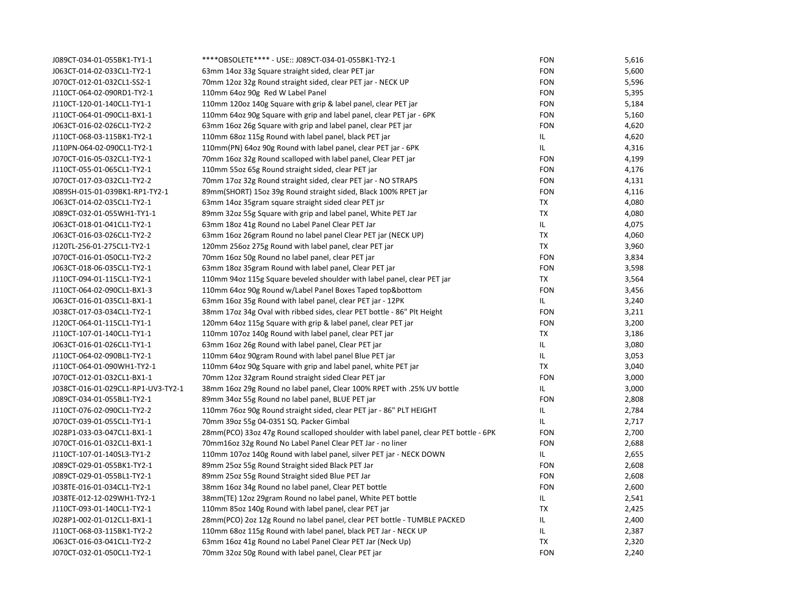| J089CT-034-01-055BK1-TY1-1         | ****OBSOLETE**** - USE:: J089CT-034-01-055BK1-TY2-1                                  | <b>FON</b> | 5,616 |
|------------------------------------|--------------------------------------------------------------------------------------|------------|-------|
| J063CT-014-02-033CL1-TY2-1         | 63mm 14oz 33g Square straight sided, clear PET jar                                   | <b>FON</b> | 5,600 |
| J070CT-012-01-032CL1-SS2-1         | 70mm 12oz 32g Round straight sided, clear PET jar - NECK UP                          | <b>FON</b> | 5,596 |
| J110CT-064-02-090RD1-TY2-1         | 110mm 64oz 90g Red W Label Panel                                                     | <b>FON</b> | 5,395 |
| J110CT-120-01-140CL1-TY1-1         | 110mm 120oz 140g Square with grip & label panel, clear PET jar                       | <b>FON</b> | 5,184 |
| J110CT-064-01-090CL1-BX1-1         | 110mm 64oz 90g Square with grip and label panel, clear PET jar - 6PK                 | <b>FON</b> | 5,160 |
| J063CT-016-02-026CL1-TY2-2         | 63mm 16oz 26g Square with grip and label panel, clear PET jar                        | <b>FON</b> | 4,620 |
| J110CT-068-03-115BK1-TY2-1         | 110mm 68oz 115g Round with label panel, black PET jar                                | IL.        | 4,620 |
| J110PN-064-02-090CL1-TY2-1         | 110mm(PN) 64oz 90g Round with label panel, clear PET jar - 6PK                       | IL.        | 4,316 |
| J070CT-016-05-032CL1-TY2-1         | 70mm 16oz 32g Round scalloped with label panel, Clear PET jar                        | <b>FON</b> | 4,199 |
| J110CT-055-01-065CL1-TY2-1         | 110mm 55oz 65g Round straight sided, clear PET jar                                   | <b>FON</b> | 4,176 |
| J070CT-017-03-032CL1-TY2-2         | 70mm 17oz 32g Round straight sided, clear PET jar - NO STRAPS                        | <b>FON</b> | 4,131 |
| J089SH-015-01-039BK1-RP1-TY2-1     | 89mm(SHORT) 15oz 39g Round straight sided, Black 100% RPET jar                       | <b>FON</b> | 4,116 |
| J063CT-014-02-035CL1-TY2-1         | 63mm 14oz 35gram square straight sided clear PET jsr                                 | <b>TX</b>  | 4,080 |
| J089CT-032-01-055WH1-TY1-1         | 89mm 32oz 55g Square with grip and label panel, White PET Jar                        | TX         | 4,080 |
| J063CT-018-01-041CL1-TY2-1         | 63mm 18oz 41g Round no Label Panel Clear PET Jar                                     | IL.        | 4,075 |
| J063CT-016-03-026CL1-TY2-2         | 63mm 16oz 26gram Round no label panel Clear PET jar (NECK UP)                        | <b>TX</b>  | 4,060 |
| J120TL-256-01-275CL1-TY2-1         | 120mm 256oz 275g Round with label panel, clear PET jar                               | TX         | 3,960 |
| J070CT-016-01-050CL1-TY2-2         | 70mm 16oz 50g Round no label panel, clear PET jar                                    | <b>FON</b> | 3,834 |
| J063CT-018-06-035CL1-TY2-1         | 63mm 18oz 35gram Round with label panel, Clear PET jar                               | <b>FON</b> | 3,598 |
| J110CT-094-01-115CL1-TY2-1         | 110mm 94oz 115g Square beveled shoulder with label panel, clear PET jar              | TX         | 3,564 |
| J110CT-064-02-090CL1-BX1-3         | 110mm 64oz 90g Round w/Label Panel Boxes Taped top⊥                                  | <b>FON</b> | 3,456 |
| J063CT-016-01-035CL1-BX1-1         | 63mm 16oz 35g Round with label panel, clear PET jar - 12PK                           | IL.        | 3,240 |
| J038CT-017-03-034CL1-TY2-1         | 38mm 17oz 34g Oval with ribbed sides, clear PET bottle - 86" Plt Height              | <b>FON</b> | 3,211 |
| J120CT-064-01-115CL1-TY1-1         | 120mm 64oz 115g Square with grip & label panel, clear PET jar                        | <b>FON</b> | 3,200 |
| J110CT-107-01-140CL1-TY1-1         | 110mm 107oz 140g Round with label panel, clear PET jar                               | <b>TX</b>  | 3,186 |
| J063CT-016-01-026CL1-TY1-1         | 63mm 16oz 26g Round with label panel, Clear PET jar                                  | IL.        | 3,080 |
| J110CT-064-02-090BL1-TY2-1         | 110mm 64oz 90gram Round with label panel Blue PET jar                                | IL.        | 3,053 |
| J110CT-064-01-090WH1-TY2-1         | 110mm 64oz 90g Square with grip and label panel, white PET jar                       | <b>TX</b>  | 3,040 |
| J070CT-012-01-032CL1-BX1-1         | 70mm 12oz 32gram Round straight sided Clear PET jar                                  | <b>FON</b> | 3,000 |
| J038CT-016-01-029CL1-RP1-UV3-TY2-1 | 38mm 16oz 29g Round no label panel, Clear 100% RPET with .25% UV bottle              | IL.        | 3,000 |
| J089CT-034-01-055BL1-TY2-1         | 89mm 34oz 55g Round no label panel, BLUE PET jar                                     | <b>FON</b> | 2,808 |
| J110CT-076-02-090CL1-TY2-2         | 110mm 76oz 90g Round straight sided, clear PET jar - 86" PLT HEIGHT                  | IL         | 2,784 |
| J070CT-039-01-055CL1-TY1-1         | 70mm 39oz 55g 04-0351 SQ. Packer Gimbal                                              | IL.        | 2,717 |
| J028P1-033-03-047CL1-BX1-1         | 28mm(PCO) 33oz 47g Round scalloped shoulder with label panel, clear PET bottle - 6PK | <b>FON</b> | 2,700 |
| J070CT-016-01-032CL1-BX1-1         | 70mm16oz 32g Round No Label Panel Clear PET Jar - no liner                           | <b>FON</b> | 2,688 |
| J110CT-107-01-140SL3-TY1-2         | 110mm 107oz 140g Round with label panel, silver PET jar - NECK DOWN                  | IL.        | 2,655 |
| J089CT-029-01-055BK1-TY2-1         | 89mm 25oz 55g Round Straight sided Black PET Jar                                     | <b>FON</b> | 2,608 |
| J089CT-029-01-055BL1-TY2-1         | 89mm 25oz 55g Round Straight sided Blue PET Jar                                      | <b>FON</b> | 2,608 |
| J038TE-016-01-034CL1-TY2-1         | 38mm 16oz 34g Round no label panel, Clear PET bottle                                 | <b>FON</b> | 2,600 |
| J038TE-012-12-029WH1-TY2-1         | 38mm(TE) 12oz 29gram Round no label panel, White PET bottle                          | IL.        | 2,541 |
| J110CT-093-01-140CL1-TY2-1         | 110mm 85oz 140g Round with label panel, clear PET jar                                | TX         | 2,425 |
| J028P1-002-01-012CL1-BX1-1         | 28mm(PCO) 2oz 12g Round no label panel, clear PET bottle - TUMBLE PACKED             | IL.        | 2,400 |
| J110CT-068-03-115BK1-TY2-2         | 110mm 68oz 115g Round with label panel, black PET Jar - NECK UP                      | IL.        | 2,387 |
| J063CT-016-03-041CL1-TY2-2         | 63mm 16oz 41g Round no Label Panel Clear PET Jar (Neck Up)                           | TX         | 2,320 |
| J070CT-032-01-050CL1-TY2-1         | 70mm 32oz 50g Round with label panel, Clear PET jar                                  | <b>FON</b> | 2,240 |
|                                    |                                                                                      |            |       |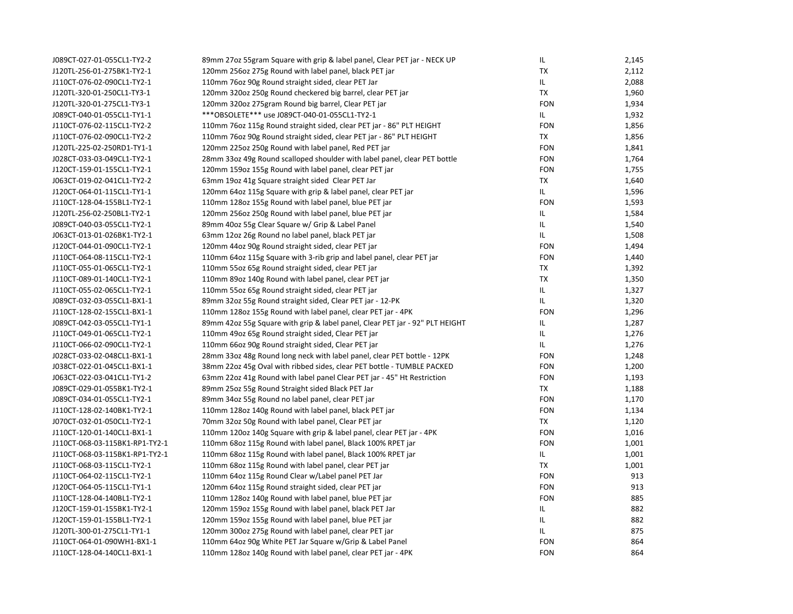| J089CT-027-01-055CL1-TY2-2     | 89mm 27oz 55gram Square with grip & label panel, Clear PET jar - NECK UP     | IL         | 2,145 |
|--------------------------------|------------------------------------------------------------------------------|------------|-------|
| J120TL-256-01-275BK1-TY2-1     | 120mm 256oz 275g Round with label panel, black PET jar                       | <b>TX</b>  | 2,112 |
| J110CT-076-02-090CL1-TY2-1     | 110mm 76oz 90g Round straight sided, clear PET Jar                           | IL.        | 2,088 |
| J120TL-320-01-250CL1-TY3-1     | 120mm 320oz 250g Round checkered big barrel, clear PET jar                   | TX         | 1,960 |
| J120TL-320-01-275CL1-TY3-1     | 120mm 320oz 275gram Round big barrel, Clear PET jar                          | <b>FON</b> | 1,934 |
| J089CT-040-01-055CL1-TY1-1     | *** OBSOLETE*** use J089CT-040-01-055CL1-TY2-1                               | IL.        | 1,932 |
| J110CT-076-02-115CL1-TY2-2     | 110mm 76oz 115g Round straight sided, clear PET jar - 86" PLT HEIGHT         | <b>FON</b> | 1,856 |
| J110CT-076-02-090CL1-TY2-2     | 110mm 76oz 90g Round straight sided, clear PET jar - 86" PLT HEIGHT          | <b>TX</b>  | 1,856 |
| J120TL-225-02-250RD1-TY1-1     | 120mm 225oz 250g Round with label panel, Red PET jar                         | <b>FON</b> | 1,841 |
| J028CT-033-03-049CL1-TY2-1     | 28mm 33oz 49g Round scalloped shoulder with label panel, clear PET bottle    | <b>FON</b> | 1,764 |
| J120CT-159-01-155CL1-TY2-1     | 120mm 159oz 155g Round with label panel, clear PET jar                       | <b>FON</b> | 1,755 |
| J063CT-019-02-041CL1-TY2-2     | 63mm 19oz 41g Square straight sided Clear PET Jar                            | TX         | 1,640 |
| J120CT-064-01-115CL1-TY1-1     | 120mm 64oz 115g Square with grip & label panel, clear PET jar                | IL.        | 1,596 |
| J110CT-128-04-155BL1-TY2-1     | 110mm 128oz 155g Round with label panel, blue PET jar                        | <b>FON</b> | 1,593 |
| J120TL-256-02-250BL1-TY2-1     | 120mm 256oz 250g Round with label panel, blue PET jar                        | IL.        | 1,584 |
| J089CT-040-03-055CL1-TY2-1     | 89mm 40oz 55g Clear Square w/ Grip & Label Panel                             | IL.        | 1,540 |
| J063CT-013-01-026BK1-TY2-1     | 63mm 12oz 26g Round no label panel, black PET jar                            | IL.        | 1,508 |
| J120CT-044-01-090CL1-TY2-1     | 120mm 44oz 90g Round straight sided, clear PET jar                           | <b>FON</b> | 1,494 |
| J110CT-064-08-115CL1-TY2-1     | 110mm 64oz 115g Square with 3-rib grip and label panel, clear PET jar        | <b>FON</b> | 1,440 |
| J110CT-055-01-065CL1-TY2-1     | 110mm 55oz 65g Round straight sided, clear PET jar                           | <b>TX</b>  | 1,392 |
| J110CT-089-01-140CL1-TY2-1     | 110mm 89oz 140g Round with label panel, clear PET jar                        | <b>TX</b>  | 1,350 |
| J110CT-055-02-065CL1-TY2-1     | 110mm 55oz 65g Round straight sided, clear PET jar                           | IL.        | 1,327 |
| J089CT-032-03-055CL1-BX1-1     | 89mm 32oz 55g Round straight sided, Clear PET jar - 12-PK                    | IL.        | 1,320 |
| J110CT-128-02-155CL1-BX1-1     | 110mm 128oz 155g Round with label panel, clear PET jar - 4PK                 | <b>FON</b> | 1,296 |
| J089CT-042-03-055CL1-TY1-1     | 89mm 42oz 55g Square with grip & label panel, Clear PET jar - 92" PLT HEIGHT | IL         | 1,287 |
| J110CT-049-01-065CL1-TY2-1     | 110mm 49oz 65g Round straight sided, Clear PET jar                           | IL         | 1,276 |
| J110CT-066-02-090CL1-TY2-1     | 110mm 66oz 90g Round straight sided, Clear PET jar                           | IL.        | 1,276 |
| J028CT-033-02-048CL1-BX1-1     | 28mm 33oz 48g Round long neck with label panel, clear PET bottle - 12PK      | <b>FON</b> | 1,248 |
| J038CT-022-01-045CL1-BX1-1     | 38mm 22oz 45g Oval with ribbed sides, clear PET bottle - TUMBLE PACKED       | <b>FON</b> | 1,200 |
| J063CT-022-03-041CL1-TY1-2     | 63mm 22oz 41g Round with label panel Clear PET jar - 45" Ht Restriction      | <b>FON</b> | 1,193 |
| J089CT-029-01-055BK1-TY2-1     | 89mm 25oz 55g Round Straight sided Black PET Jar                             | <b>TX</b>  | 1,188 |
| J089CT-034-01-055CL1-TY2-1     | 89mm 34oz 55g Round no label panel, clear PET jar                            | <b>FON</b> | 1,170 |
| J110CT-128-02-140BK1-TY2-1     | 110mm 1280z 140g Round with label panel, black PET jar                       | <b>FON</b> | 1,134 |
| J070CT-032-01-050CL1-TY2-1     | 70mm 32oz 50g Round with label panel, Clear PET jar                          | TX         | 1,120 |
| J110CT-120-01-140CL1-BX1-1     | 110mm 120oz 140g Square with grip & label panel, clear PET jar - 4PK         | <b>FON</b> | 1,016 |
| J110CT-068-03-115BK1-RP1-TY2-1 | 110mm 68oz 115g Round with label panel, Black 100% RPET jar                  | <b>FON</b> | 1,001 |
| J110CT-068-03-115BK1-RP1-TY2-1 | 110mm 68oz 115g Round with label panel, Black 100% RPET jar                  | IL.        | 1,001 |
| J110CT-068-03-115CL1-TY2-1     | 110mm 68oz 115g Round with label panel, clear PET jar                        | <b>TX</b>  | 1,001 |
| J110CT-064-02-115CL1-TY2-1     | 110mm 64oz 115g Round Clear w/Label panel PET Jar                            | <b>FON</b> | 913   |
| J120CT-064-05-115CL1-TY1-1     | 120mm 64oz 115g Round straight sided, clear PET jar                          | <b>FON</b> | 913   |
| J110CT-128-04-140BL1-TY2-1     | 110mm 128oz 140g Round with label panel, blue PET jar                        | <b>FON</b> | 885   |
| J120CT-159-01-155BK1-TY2-1     | 120mm 159oz 155g Round with label panel, black PET Jar                       | IL         | 882   |
| J120CT-159-01-155BL1-TY2-1     | 120mm 159oz 155g Round with label panel, blue PET jar                        | IL.        | 882   |
| J120TL-300-01-275CL1-TY1-1     | 120mm 300oz 275g Round with label panel, clear PET jar                       | IL.        | 875   |
| J110CT-064-01-090WH1-BX1-1     | 110mm 64oz 90g White PET Jar Square w/Grip & Label Panel                     | <b>FON</b> | 864   |
| J110CT-128-04-140CL1-BX1-1     | 110mm 128oz 140g Round with label panel, clear PET jar - 4PK                 | <b>FON</b> | 864   |
|                                |                                                                              |            |       |